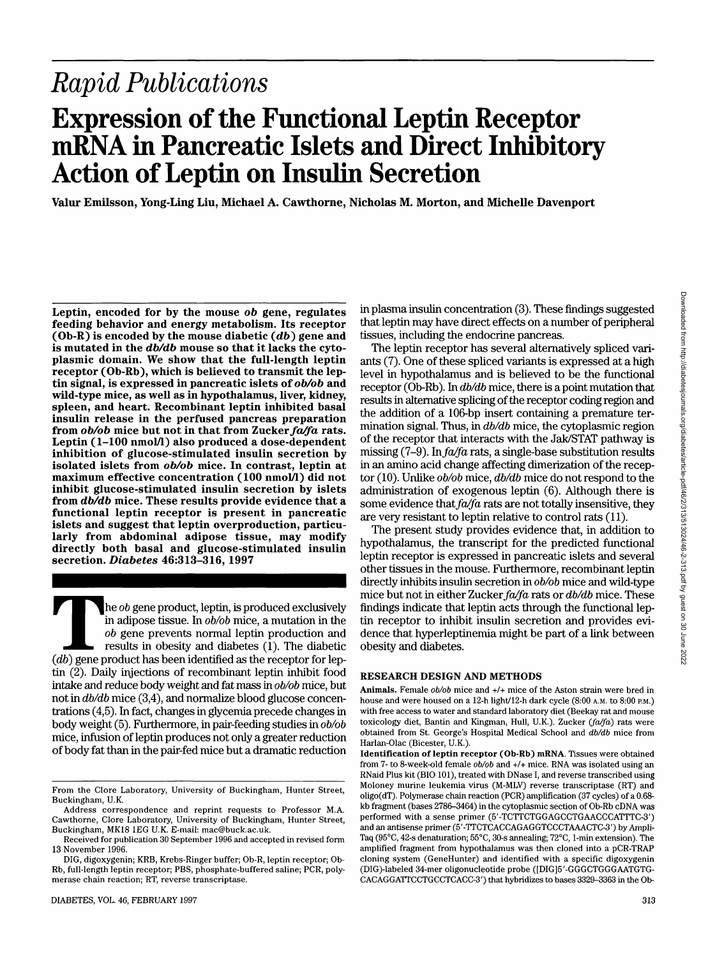Downloaded from http://diabetesjournals.org/diabetes/article-pdf/46/2/313/513024/46-2-313.pdf by guest on 30 June 2022 Downloaded from http://diabetesjournals.org/diabetes/article-pdf/46/2/313/513024/46-2-313.pdf by guest on 30 June 2022

# *Rapid Publications*

# **Expression of the Functional Leptin Receptor mRNA in Pancreatic Islets and Direct Inhibitory Action of Leptin on Insulin Secretion**

**Valur Emilsson, Yong-Ling Liu, Michael A. Cawthorne, Nicholas M. Morton, and Michelle Davenport**

**Leptin, encoded for by the mouse** *ob* **gene, regulates feeding behavior and energy metabolism. Its receptor**  $(Ob-R)$  is encoded by the mouse diabetic  $(db)$  gene and is mutated in the  $db/db$  mouse so that it lacks the cyto**is mutated in the** *db/db* **mouse so that it lacks the cyto- plasmic domain. We show that the full-length leptin receptor (Ob-Rb), which is believed to transmit the lep- tin signal, is expressed in pancreatic islets of 06/06 and wild-type mice, as well as in hypothalamus, liver, kidney, spleen, and heart. Recombinant leptin inhibited basal insulin release in the perfused pancreas preparation from 06/06 mice but not in that from Zucker** *fa/fa* **rats. Leptin (1-100 nmol/1) also produced a dose-dependent inhibition of glucose-stimulated insulin secretion by isolated islets from 06/06 mice. In contrast, leptin at maximum effective concentration (100 nmol/1) did not inhibit glucose-stimulated insulin secretion by islets from** *db/db* **mice. These results provide evidence that a functional leptin receptor is present in pancreatic islets and suggest that leptin overproduction, particu- larly from abdominal adipose tissue, may modify directly both basal and glucose-stimulated insulin secretion.** *Diabetes* **46:313-316, 1997**

*(db)* gene product, leptin, is produced exclusively in adipose tissue. In *ob/ob* mice, a mutation in the *ob* gene prevents normal leptin production and results in obesity and diabetes (1). The diabetic *(db)* gene produ in adipose tissue. In *ob/ob* mice, a mutation in the *ob* gene prevents normal leptin production and results in obesity and diabetes (1). The diabetic tin (2). Daily injections of recombinant leptin inhibit food intake and reduce body weight and fat mass in *ob/ob* mice, but not in *db/db* mice (3,4), and normalize blood glucose concentrations (4,5). In fact, changes in glycemia precede changes in body weight (5). Furthermore, in pair-feeding studies in *ob/ob* mice, infusion of leptin produces not only a greater reduction of body fat than in the pair-fed mice but a dramatic reduction

in plasma insulin concentration (3). These findings suggested that leptin may have direct effects on a number of peripheral tissues, including the endocrine pancreas.

The leptin receptor has several alternatively spliced variants (7). One of these spliced variants is expressed at a high level in hypothalamus and is believed to be the functional receptor (Ob-Rb). In *db/db* mice, there is a point mutation that results in alternative splicing of the receptor coding region and the addition of a 106-bp insert containing a premature termination signal. Thus, in *db/db* mice, the cytoplasmic region of the receptor that interacts with the Jak/STAT pathway is missing (7-9). In *fa/fa* rats, a single-base substitution results in an amino acid change affecting dimerization of the receptor (10). Unlike *ob/ob* mice, *db/db* mice do not respond to the administration of exogenous leptin (6). Although there is some evidence that *fa/fa* rats are not totally insensitive, they are very resistant to leptin relative to control rats (11).

The present study provides evidence that, in addition to hypothalamus, the transcript for the predicted functional leptin receptor is expressed in pancreatic islets and several other tissues in the mouse. Furthermore, recombinant leptin directly inhibits insulin secretion in *ob/ob* mice and wild-type mice but not in either Zucker *fa/fa* rats or *db/db* mice. These findings indicate that leptin acts through the functional leptin receptor to inhibit insulin secretion and provides evidence that hyperleptinemia might be part of a link between obesity and diabetes.

#### **RESEARCH DESIGN AND METHODS**

**Animals.** Female *ob/ob* mice and +/+ mice of the Aston strain were bred in house and were housed on a 12-h light/12-h dark cycle  $(8.00 \text{ A.M. to } 8.00 \text{ P.M.})$ with free access to water and standard laboratory diet (Beekay rat and mouse toxicology diet, Bantin and Kingman, Hull, U.K.). Zucker *(fa/fa)* rats were obtained from St. George's Hospital Medical School and *db/db* mice from Harlan-Olac (Bicester, U.K.).

**Identification of leptin receptor (Ob-Rb) mRNA.** Tissues were obtained from 7- to 8-week-old female 06/06 and +/+ mice. RNA was isolated using an RNaid Plus kit (BIO 101), treated with DNase I, and reverse transcribed using Moloney murine leukemia virus (M-MLV) reverse transcriptase (RT) and oligo(dT). Polymerase chain reaction (PCR) amplification (37 cycles) of a 0.68 kb fragment (bases 2786-3464) in the cytoplasmic section of Ob-Rb cDNA was performed with a sense primer (5'-TCTTCTGGAGCCTGAACCCATTTC-3') and an antisense primer (5'-TTCTCACCAGAGGTCCCTAAACTC-3') by Ampli-Taq (95°C, 42-s denaturation; 55°C, 30-s annealing; 72°C, 1-min extension). The amplified fragment from hypothalamus was then cloned into a pCR-TRAP cloning system (GeneHunter) and identified with a specific digoxygenin (DIG)-labeled 34-mer oligonucleotide probe ([DIG]5'-GGGCTGGGAATGTG-CACAGGATTCCTGCCTCACC-3') that hybridizes to bases 3329-3363 in the Ob-

From the Clore Laboratory, University of Buckingham, Hunter Street, Buckingham, U.K.

Address correspondence and reprint requests to Professor M.A. Cawthorne, Clore Laboratory, University of Buckingham, Hunter Street, Buckingham, MK18 1EG U.K. E-mail: mac@buck.ac.uk.

Received for publication 30 September 1996 and accepted in revised form 13 November 1996.

DIG, digoxygenin; KRB, Krebs-Ringer buffer; Ob-R, leptin receptor; Ob-Rb, full-length leptin receptor; PBS, phosphate-buffered saline; PCR, polymerase chain reaction; RT, reverse transcriptase.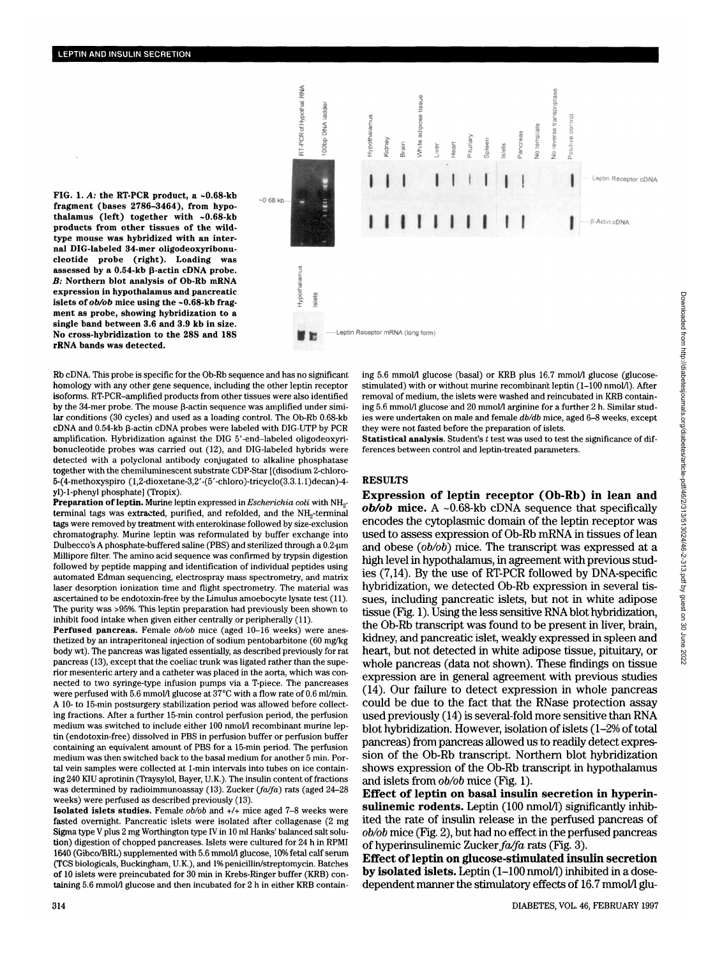**FIG. 1.** *A:* **the RT-PCR product, a ~0.68-kb fragment (bases 2786-3464), from hypothalamus (left) together with ~0.68-kb products from other tissues of the wildtype mouse was hybridized with an internal DIG-labeled 34-mer oligodeoxyribonucleotide probe (right). Loading was assessed by a 0.54-kb P-actin cDNA probe.** *B:* **Northern blot analysis of Ob-Rb mRNA expression in hypothalamus and pancreatic islets of** *ob/ob* **mice using the ~0.68-kb fragment as probe, showing hybridization to a single band between 3.6 and 3.9 kb in size. No cross-hybridization to the 28S and 18S rRNA bands was detected.**



Rb cDNA. This probe is specific for the Ob-Rb sequence and has no significant homology with any other gene sequence, including the other leptin receptor isoforms. RT-PCR-amplified products from other tissues were also identified by the 34-mer probe. The mouse  $\beta$ -actin sequence was amplified under similar conditions (30 cycles) and used as a loading control. The Ob-Rb 0.68-kb  $cDNA$  and 0.54-kb  $\beta$ -actin  $cDNA$  probes were labeled with DIG-UTP by PCR amplification. Hybridization against the DIG 5'-end-labeled oligodeoxyribonucleotide probes was carried out (12), and DIG-labeled hybrids were detected with a polyclonal antibody conjugated to alkaline phosphatase together with the chemiluminescent substrate CDP-Star [(disodium 2-chloro-5-(4-methoxyspiro (l,2-dioxetane-3,2'-(5'-chloro)-tricyclo(3.3.1.1)decan)-4 yl)-l-phenyl phosphate] (Tropix).

**Preparation of leptin.** Murine leptin expressed in *Escherichia coli* with NH<sub>2</sub>terminal tags was extracted, purified, and refolded, and the NH<sub>2</sub>-terminal tags were removed by treatment with enterokinase followed by size-exclusion chromatography. Murine leptin was reformulated by buffer exchange into Dulbecco's A phosphate-buffered saline (PBS) and sterilized through a 0.2-um Millipore filter. The amino acid sequence was confirmed by trypsin digestion followed by peptide mapping and identification of individual peptides using automated Edman sequencing, electrospray mass spectrometry, and matrix laser desorption ionization time and flight spectrometry. The material was ascertained to be endotoxin-free by the Limulus amoebocyte lysate test (11). The purity was >95%. This leptin preparation had previously been shown to inhibit food intake when given either centrally or peripherally (11).

**Perfused pancreas.** Female *ob/ob* mice (aged 10-16 weeks) were anesthetized by an intraperitoneal injection of sodium pentobarbitone (60 mg/kg body wt). The pancreas was ligated essentially, as described previously for rat pancreas (13), except that the coeliac trunk was ligated rather than the superior mesenteric artery and a catheter was placed in the aorta, which was connected to two syringe-type infusion pumps via a T-piece. The pancreases were perfused with 5.6 mmol/l glucose at 37°C with a flow rate of 0.6 ml/min. A 10- to 15-min postsurgery stabilization period was allowed before collecting fractions. After a further 15-min control perfusion period, the perfusion medium was switched to include either 100 nmol/1 recombinant murine leptin (endotoxin-free) dissolved in PBS in perfusion buffer or perfusion buffer containing an equivalent amount of PBS for a 15-min period. The perfusion medium was then switched back to the basal medium for another 5 min. Portal vein samples were collected at 1-min intervals into tubes on ice containing 240 KIU aprotinin (Traysylol, Bayer, U.K.). The insulin content of fractions was determined by radioimmunoassay (13). Zucker *(fa/fa)* rats (aged 24-28 weeks) were perfused as described previously (13).

**Isolated islets studies.** Female *ob/ob* and +/+ mice aged 7-8 weeks were fasted overnight. Pancreatic islets were isolated after collagenase (2 mg Sigma type V plus 2 mg Worthington type IV in 10 ml Hanks' balanced salt solution) digestion of chopped pancreases. Islets were cultured for 24 h in RPMI 1640 (Gibco/BRL) supplemented with 5.6 mmol/1 glucose, 10% fetal calf serum (TCS biologicals, Buckingham, U.K.), and 1% penicillin/streptomycin. Batches of 10 islets were preincubated for 30 min in Krebs-Ringer buffer (KRB) containing 5.6 mmol/l glucose and then incubated for 2 h in either KRB containing 5.6 mmol/l glucose (basal) or KRB plus 16.7 mmol/l glucose (glucosestimulated) with or without murine recombinant leptin (1-100 nmol/1). After removal of medium, the islets were washed and reincubated in KRB containing 5.6 mmol/1 glucose and 20 mmol/1 arginine for a further 2 h. Similar studies were undertaken on male and female *db/db* mice, aged 6-8 weeks, except they were not fasted before the preparation of islets.

**Statistical analysis.** Student's *t* test was used to test the significance of differences between control and leptin-treated parameters.

#### **RESULTS**

**Expression of leptin receptor (Ob-Rb) in lean and** *ob/ob* **mice.** A ~0.68-kb cDNA sequence that specifically encodes the cytoplasmic domain of the leptin receptor was used to assess expression of Ob-Rb mRNA in tissues of lean and obese *(ob/ob)* mice. The transcript was expressed at a high level in hypothalamus, in agreement with previous studies (7,14). By the use of RT-PCR followed by DNA-specific hybridization, we detected Ob-Rb expression in several tissues, including pancreatic islets, but not in white adipose tissue (Fig. 1). Using the less sensitive RNA blot hybridization, the Ob-Rb transcript was found to be present in liver, brain, kidney, and pancreatic islet, weakly expressed in spleen and heart, but not detected in white adipose tissue, pituitary, or whole pancreas (data not shown). These findings on tissue expression are in general agreement with previous studies (14). Our failure to detect expression in whole pancreas could be due to the fact that the RNase protection assay used previously (14) is several-fold more sensitive than RNA blot hybridization. However, isolation of islets (1-2% of total pancreas) from pancreas allowed us to readily detect expression of the Ob-Rb transcript. Northern blot hybridization shows expression of the Ob-Rb transcript in hypothalamus and islets from *ob/ob* mice (Fig. **1).**

**Effect of leptin on basal insulin secretion in hyperin**sulinemic rodents. Leptin (100 nmol/l) significantly inhibited the rate of insulin release in the perfused pancreas of *ob/ob* mice (Fig. 2), but had no effect in the perfused pancreas of hyperinsulinemic Zucker *fa/fa* rats (Fig. 3).

**Effect of leptin on glucose-stimulated insulin secretion by isolated islets.** Leptin (1-100 nmol/1) inhibited in a dosedependent manner the stimulatory effects of 16.7 mmol/l glu-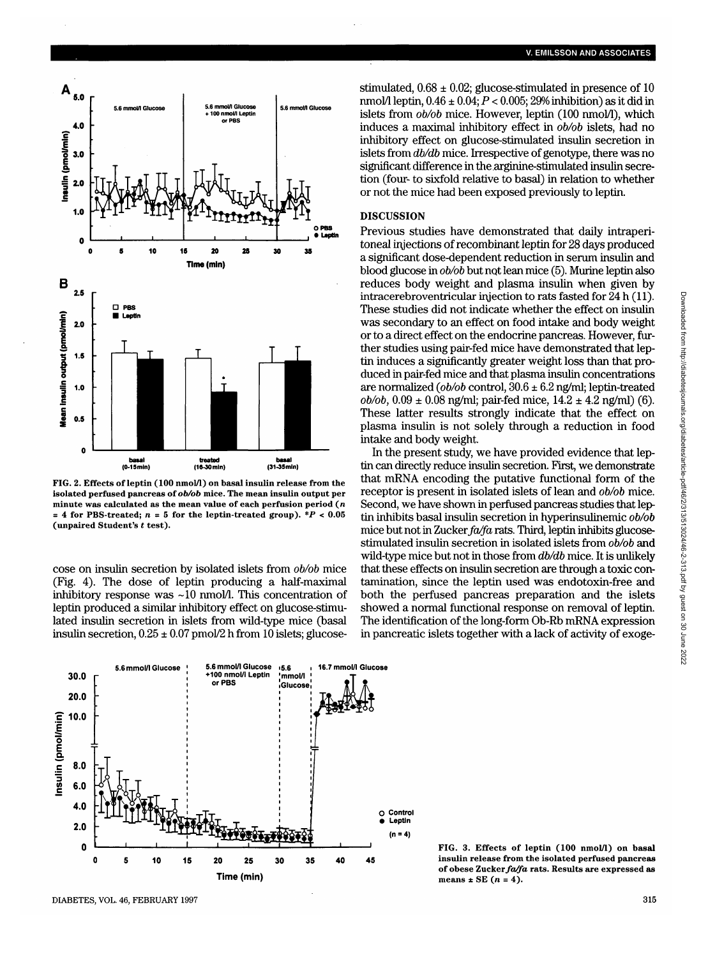

**FIG. 2. Effects of leptin (100 nmol/1) on basal insulin release from the isolated perfused pancreas of** *ob/ob* **mice. The mean insulin output per minute was calculated as the mean value of each perfusion period (n**  $=$  4 for PBS-treated;  $n = 5$  for the leptin-treated group).  $*P < 0.05$ **(unpaired Student's** *t* **test).**

cose on insulin secretion by isolated islets from *ob/ob* mice (Fig. 4). The dose of leptin producing a half-maximal inhibitory response was  $\sim$ 10 nmol/l. This concentration of leptin produced a similar inhibitory effect on glucose-stimulated insulin secretion in islets from wild-type mice (basal insulin secretion,  $0.25 \pm 0.07$  pmol/2 h from 10 islets; glucosestimulated,  $0.68 \pm 0.02$ ; glucose-stimulated in presence of 10 nmol/1 leptin, 0.46 ± 0.04; *P <* 0.005; 29% inhibition) as it did in islets from *ob/ob* mice. However, leptin (100 nmol/1), which induces a maximal inhibitory effect in *ob/ob* islets, had no inhibitory effect on glucose-stimulated insulin secretion in islets from *db/db* mice. Irrespective of genotype, there was no significant difference in the arginine-stimulated insulin secretion (four- to sixfold relative to basal) in relation to whether or not the mice had been exposed previously to leptin.

### **DISCUSSION**

Previous studies have demonstrated that daily intraperitoneal injections of recombinant leptin for 28 days produced a significant dose-dependent reduction in serum insulin and blood glucose in *ob/ob* but not lean mice (5). Murine leptin also reduces body weight and plasma insulin when given by intracerebroventricular injection to rats fasted for 24 h (11). These studies did not indicate whether the effect on insulin was secondary to an effect on food intake and body weight or to a direct effect on the endocrine pancreas. However, further studies using pair-fed mice have demonstrated that leptin induces a significantly greater weight loss than that produced in pair-fed mice and that plasma insulin concentrations are normalized *(pb/ob* control, 30.6 ± 6.2 ng/ml; leptin-treated  $ob/ob$ ,  $0.09 \pm 0.08$  ng/ml; pair-fed mice,  $14.2 \pm 4.2$  ng/ml) (6). These latter results strongly indicate that the effect on plasma insulin is not solely through a reduction in food intake and body weight.

In the present study, we have provided evidence that leptin can directly reduce insulin secretion. First, we demonstrate that mRNA encoding the putative functional form of the receptor is present in isolated islets of lean and *ob/ob* mice. Second, we have shown in perfused pancreas studies that leptin inhibits basal insulin secretion in hyperinsulinemic *ob/ob* mice but not in *Zuckerfa/fa* rats. Third, leptin inhibits glucosestimulated insulin secretion in isolated islets from *ob/ob* and wild-type mice but not in those from *db/db* mice. It is unlikely that these effects on insulin secretion are through a toxic contamination, since the leptin used was endotoxin-free and both the perfused pancreas preparation and the islets showed a normal functional response on removal of leptin. The identification of the long-form Ob-Rb mRNA expression in pancreatic islets together with a lack of activity of exoge-



**FIG. 3. Effects of leptin (100 nmol/1) on basal insulin release from the isolated perfused pancreas of obese** *Zucker fa/fa* **rats. Results are expressed as means ± SE (n = 4).**